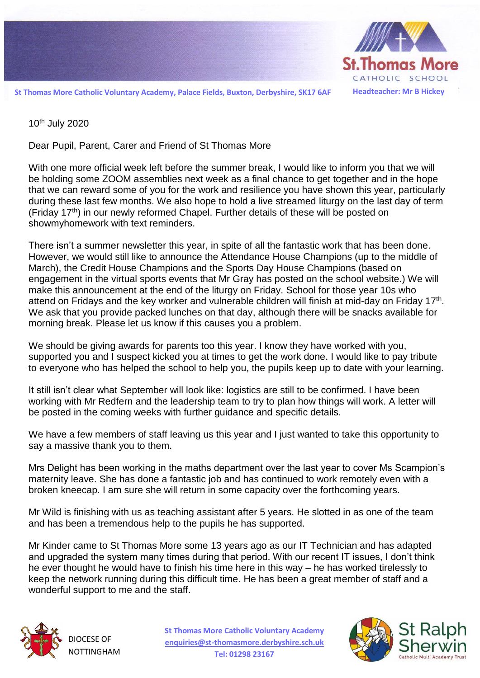

**St Thomas More Catholic Voluntary Academy, Palace Fields, Buxton, Derbyshire, SK17 6AF Headteacher: Mr B Hickey**

10th July 2020

Dear Pupil, Parent, Carer and Friend of St Thomas More

With one more official week left before the summer break, I would like to inform you that we will be holding some ZOOM assemblies next week as a final chance to get together and in the hope that we can reward some of you for the work and resilience you have shown this year, particularly during these last few months. We also hope to hold a live streamed liturgy on the last day of term (Friday  $17<sup>th</sup>$ ) in our newly reformed Chapel. Further details of these will be posted on showmyhomework with text reminders.

There isn't a summer newsletter this year, in spite of all the fantastic work that has been done. However, we would still like to announce the Attendance House Champions (up to the middle of March), the Credit House Champions and the Sports Day House Champions (based on engagement in the virtual sports events that Mr Gray has posted on the school website.) We will make this announcement at the end of the liturgy on Friday. School for those year 10s who attend on Fridays and the key worker and vulnerable children will finish at mid-day on Friday 17<sup>th</sup>. We ask that you provide packed lunches on that day, although there will be snacks available for morning break. Please let us know if this causes you a problem.

We should be giving awards for parents too this year. I know they have worked with you, supported you and I suspect kicked you at times to get the work done. I would like to pay tribute to everyone who has helped the school to help you, the pupils keep up to date with your learning.

It still isn't clear what September will look like: logistics are still to be confirmed. I have been working with Mr Redfern and the leadership team to try to plan how things will work. A letter will be posted in the coming weeks with further guidance and specific details.

We have a few members of staff leaving us this year and I just wanted to take this opportunity to say a massive thank you to them.

Mrs Delight has been working in the maths department over the last year to cover Ms Scampion's maternity leave. She has done a fantastic job and has continued to work remotely even with a broken kneecap. I am sure she will return in some capacity over the forthcoming years.

Mr Wild is finishing with us as teaching assistant after 5 years. He slotted in as one of the team and has been a tremendous help to the pupils he has supported.

Mr Kinder came to St Thomas More some 13 years ago as our IT Technician and has adapted and upgraded the system many times during that period. With our recent IT issues, I don't think he ever thought he would have to finish his time here in this way – he has worked tirelessly to keep the network running during this difficult time. He has been a great member of staff and a wonderful support to me and the staff.



DIOCESE OF **NOTTINGHAM**  **St Thomas More Catholic Voluntary Academy [enquiries@st-thomasmore.derbyshire.sch.uk](mailto:enquiries@st-thomasmore.derbyshire.sch.uk) Tel: 01298 23167**